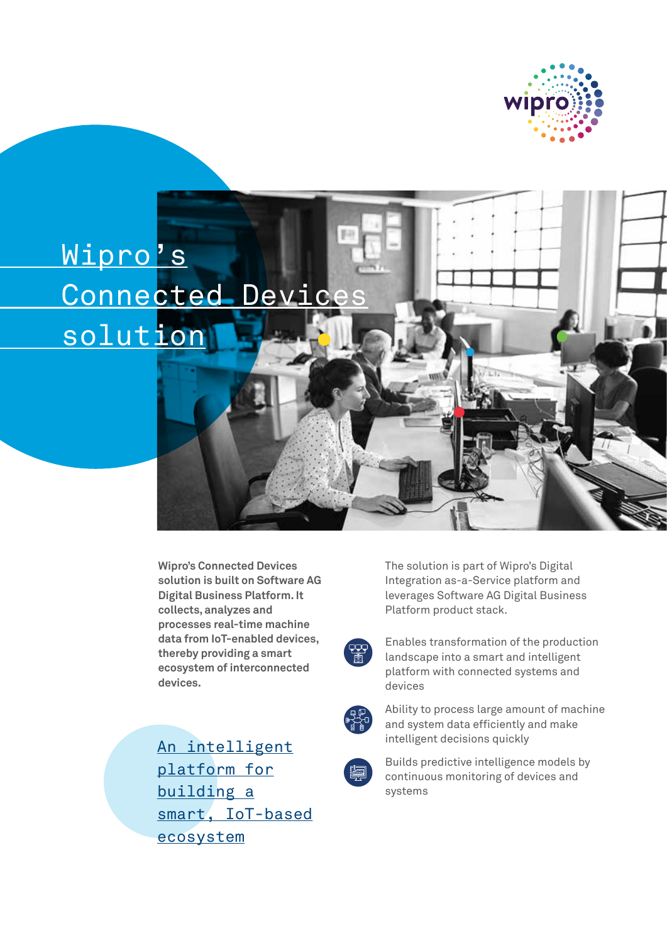

## Wipro's Connected Devices solution

**Wipro's Connected Devices solution is built on Software AG Digital Business Platform. It collects, analyzes and processes real-time machine data from IoT-enabled devices, thereby providing a smart ecosystem of interconnected devices.**

An intelligent platform for

building a smart, IoT-based ecosystem

The solution is part of Wipro's Digital Integration as-a-Service platform and leverages Software AG Digital Business Platform product stack.

.<br>. 효

Enables transformation of the production landscape into a smart and intelligent platform with connected systems and devices



Ability to process large amount of machine and system data efficiently and make intelligent decisions quickly



Builds predictive intelligence models by continuous monitoring of devices and systems